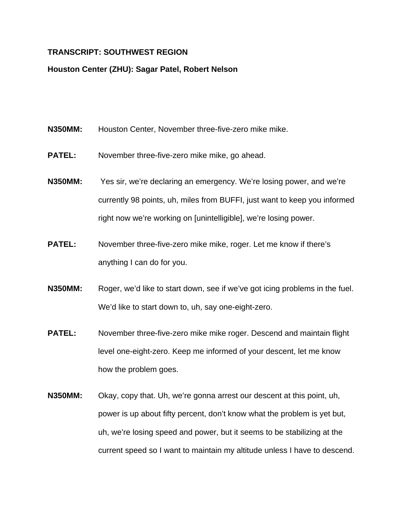## **TRANSCRIPT: SOUTHWEST REGION**

## **Houston Center (ZHU): Sagar Patel, Robert Nelson**

- **N350MM:** Houston Center, November three-five-zero mike mike.
- **PATEL:** November three-five-zero mike mike, go ahead.
- **N350MM:** Yes sir, we're declaring an emergency. We're losing power, and we're currently 98 points, uh, miles from BUFFI, just want to keep you informed right now we're working on [unintelligible], we're losing power.
- **PATEL:** November three-five-zero mike mike, roger. Let me know if there's anything I can do for you.
- **N350MM:** Roger, we'd like to start down, see if we've got icing problems in the fuel. We'd like to start down to, uh, say one-eight-zero.
- **PATEL:** November three-five-zero mike mike roger. Descend and maintain flight level one-eight-zero. Keep me informed of your descent, let me know how the problem goes.
- **N350MM:** Okay, copy that. Uh, we're gonna arrest our descent at this point, uh, power is up about fifty percent, don't know what the problem is yet but, uh, we're losing speed and power, but it seems to be stabilizing at the current speed so I want to maintain my altitude unless I have to descend.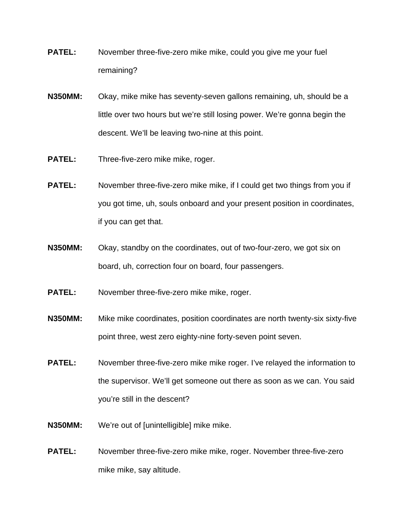- **PATEL:** November three-five-zero mike mike, could you give me your fuel remaining?
- **N350MM:** Okay, mike mike has seventy-seven gallons remaining, uh, should be a little over two hours but we're still losing power. We're gonna begin the descent. We'll be leaving two-nine at this point.
- **PATEL:** Three-five-zero mike mike, roger.
- **PATEL:** November three-five-zero mike mike, if I could get two things from you if you got time, uh, souls onboard and your present position in coordinates, if you can get that.
- **N350MM:** Okay, standby on the coordinates, out of two-four-zero, we got six on board, uh, correction four on board, four passengers.
- **PATEL:** November three-five-zero mike mike, roger.
- **N350MM:** Mike mike coordinates, position coordinates are north twenty-six sixty-five point three, west zero eighty-nine forty-seven point seven.
- **PATEL:** November three-five-zero mike mike roger. I've relayed the information to the supervisor. We'll get someone out there as soon as we can. You said you're still in the descent?
- **N350MM:** We're out of [unintelligible] mike mike.
- **PATEL:** November three-five-zero mike mike, roger. November three-five-zero mike mike, say altitude.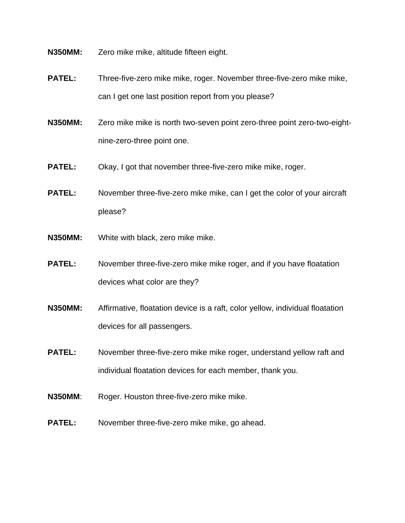**N350MM:** Zero mike mike, altitude fifteen eight.

- **PATEL:** Three-five-zero mike mike, roger. November three-five-zero mike mike, can I get one last position report from you please?
- **N350MM:** Zero mike mike is north two-seven point zero-three point zero-two-eightnine-zero-three point one.
- **PATEL:** Okay, I got that november three-five-zero mike mike, roger.
- **PATEL:** November three-five-zero mike mike, can I get the color of your aircraft please?
- **N350MM:** White with black, zero mike mike.
- **PATEL:** November three-five-zero mike mike roger, and if you have floatation devices what color are they?
- **N350MM:** Affirmative, floatation device is a raft, color yellow, individual floatation devices for all passengers.
- **PATEL:** November three-five-zero mike mike roger, understand yellow raft and individual floatation devices for each member, thank you.
- **N350MM:** Roger. Houston three-five-zero mike mike.
- **PATEL:** November three-five-zero mike mike, go ahead.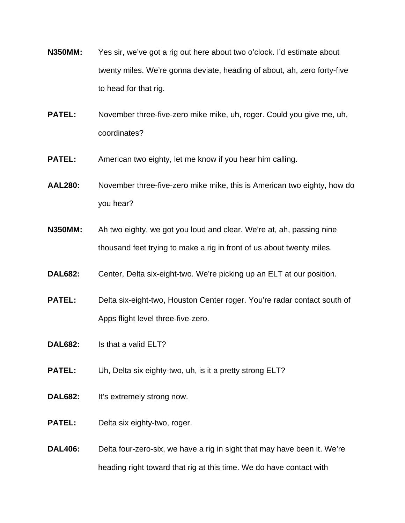- **N350MM:** Yes sir, we've got a rig out here about two o'clock. I'd estimate about twenty miles. We're gonna deviate, heading of about, ah, zero forty-five to head for that rig.
- **PATEL:** November three-five-zero mike mike, uh, roger. Could you give me, uh, coordinates?
- **PATEL:** American two eighty, let me know if you hear him calling.
- **AAL280:** November three-five-zero mike mike, this is American two eighty, how do you hear?
- **N350MM:** Ah two eighty, we got you loud and clear. We're at, ah, passing nine thousand feet trying to make a rig in front of us about twenty miles.
- **DAL682:** Center, Delta six-eight-two. We're picking up an ELT at our position.
- **PATEL:** Delta six-eight-two, Houston Center roger. You're radar contact south of Apps flight level three-five-zero.
- **DAL682:** Is that a valid ELT?
- **PATEL:** Uh, Delta six eighty-two, uh, is it a pretty strong ELT?
- **DAL682:** It's extremely strong now.
- **PATEL:** Delta six eighty-two, roger.
- **DAL406:** Delta four-zero-six, we have a rig in sight that may have been it. We're heading right toward that rig at this time. We do have contact with